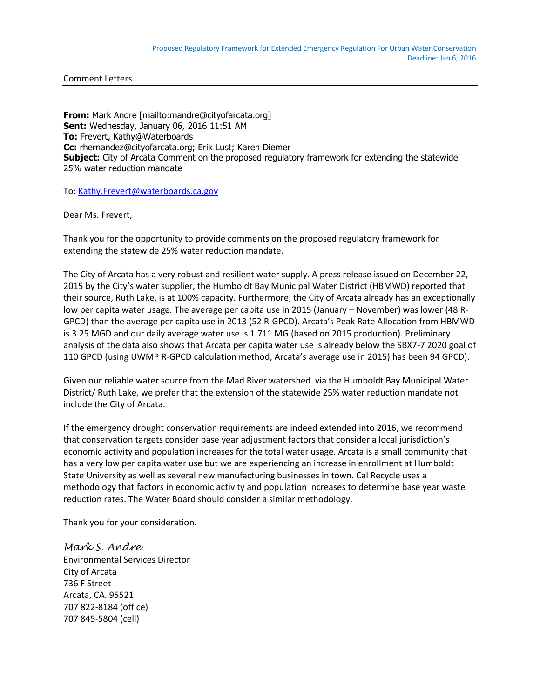Comment Letters

**From:** Mark Andre [mailto:mandre@cityofarcata.org] **Sent:** Wednesday, January 06, 2016 11:51 AM **To:** Frevert, Kathy@Waterboards **Cc:** rhernandez@cityofarcata.org; Erik Lust; Karen Diemer **Subject:** City of Arcata Comment on the proposed regulatory framework for extending the statewide 25% water reduction mandate

To[: Kathy.Frevert@waterboards.ca.gov](mailto:Kathy.Frevert@waterboards.ca.gov)

Dear Ms. Frevert,

Thank you for the opportunity to provide comments on the proposed regulatory framework for extending the statewide 25% water reduction mandate.

The City of Arcata has a very robust and resilient water supply. A press release issued on December 22, 2015 by the City's water supplier, the Humboldt Bay Municipal Water District (HBMWD) reported that their source, Ruth Lake, is at 100% capacity. Furthermore, the City of Arcata already has an exceptionally low per capita water usage. The average per capita use in 2015 (January – November) was lower (48 R-GPCD) than the average per capita use in 2013 (52 R-GPCD). Arcata's Peak Rate Allocation from HBMWD is 3.25 MGD and our daily average water use is 1.711 MG (based on 2015 production). Preliminary analysis of the data also shows that Arcata per capita water use is already below the SBX7-7 2020 goal of 110 GPCD (using UWMP R-GPCD calculation method, Arcata's average use in 2015) has been 94 GPCD).

Given our reliable water source from the Mad River watershed via the Humboldt Bay Municipal Water District/ Ruth Lake, we prefer that the extension of the statewide 25% water reduction mandate not include the City of Arcata.

If the emergency drought conservation requirements are indeed extended into 2016, we recommend that conservation targets consider base year adjustment factors that consider a local jurisdiction's economic activity and population increases for the total water usage. Arcata is a small community that has a very low per capita water use but we are experiencing an increase in enrollment at Humboldt State University as well as several new manufacturing businesses in town. Cal Recycle uses a methodology that factors in economic activity and population increases to determine base year waste reduction rates. The Water Board should consider a similar methodology.

Thank you for your consideration.

*Mark S. Andre* Environmental Services Director City of Arcata 736 F Street Arcata, CA. 95521 707 822-8184 (office) 707 845-5804 (cell)